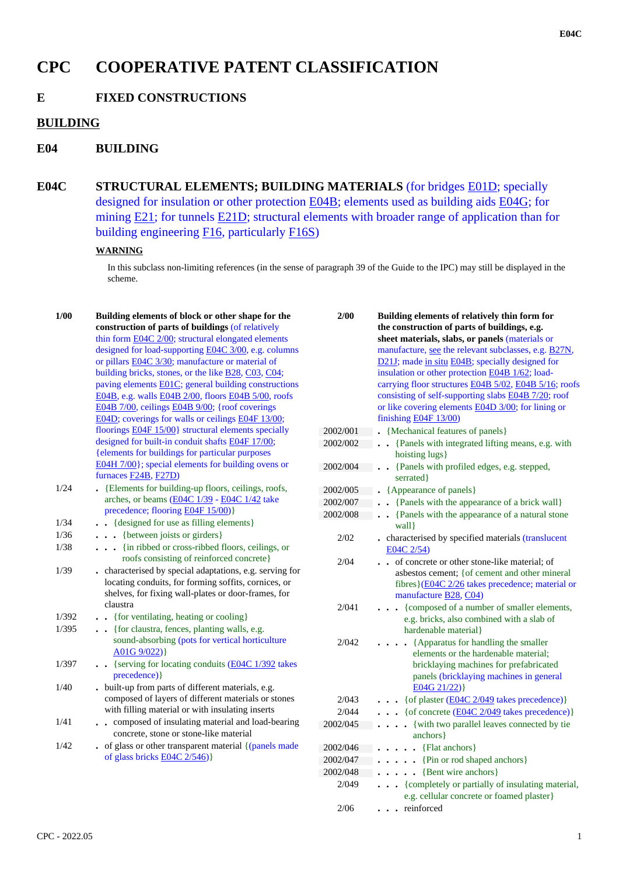# **CPC COOPERATIVE PATENT CLASSIFICATION**

## **E FIXED CONSTRUCTIONS**

## **BUILDING**

## **E04 BUILDING**

**E04C STRUCTURAL ELEMENTS; BUILDING MATERIALS** (for bridges E01D; specially designed for insulation or other protection E04B; elements used as building aids E04G; for mining E21; for tunnels E21D; structural elements with broader range of application than for building engineering F16, particularly F16S)

#### **WARNING**

In this subclass non-limiting references (in the sense of paragraph 39 of the Guide to the IPC) may still be displayed in the scheme.

| 1/00  | Building elements of block or other shape for the            | 2/00     | B              |
|-------|--------------------------------------------------------------|----------|----------------|
|       | construction of parts of buildings (of relatively            |          | t              |
|       | thin form E04C 2/00; structural elongated elements           |          | sl             |
|       | designed for load-supporting E04C 3/00, e.g. columns         |          | n              |
|       | or pillars <b>E04C</b> 3/30; manufacture or material of      |          | Ē              |
|       | building bricks, stones, or the like <b>B28</b> , C03, C04;  |          | iı             |
|       | paving elements E01C; general building constructions         |          | $\mathbf{C}$   |
|       | E04B, e.g. walls E04B 2/00, floors E04B 5/00, roofs          |          | $\mathbf{C}$   |
|       | E04B 7/00, ceilings E04B 9/00; {roof coverings               |          | $\overline{O}$ |
|       | E04D; coverings for walls or ceilings E04F 13/00;            |          | fi             |
|       | floorings $E04F 15/00$ } structural elements specially       | 2002/001 |                |
|       | designed for built-in conduit shafts E04F 17/00;             | 2002/002 |                |
|       | {elements for buildings for particular purposes              |          |                |
|       | E04H 7/00}; special elements for building ovens or           | 2002/004 |                |
|       | furnaces F24B, F27D)                                         |          |                |
| 1/24  | • {Elements for building-up floors, ceilings, roofs,         | 2002/005 |                |
|       | arches, or beams (E04C 1/39 - E04C 1/42 take                 | 2002/007 |                |
|       | precedence; flooring E04F 15/00)}                            | 2002/008 |                |
| 1/34  | . {designed for use as filling elements}                     |          |                |
| 1/36  | . . {between joists or girders}                              | 2/02     |                |
| 1/38  | {in ribbed or cross-ribbed floors, ceilings, or<br>$\ddotsc$ |          |                |
|       | roofs consisting of reinforced concrete}                     | 2/04     |                |
| 1/39  | characterised by special adaptations, e.g. serving for       |          |                |
|       | locating conduits, for forming soffits, cornices, or         |          |                |
|       | shelves, for fixing wall-plates or door-frames, for          |          |                |
|       | claustra                                                     | 2/041    |                |
| 1/392 | . {for ventilating, heating or cooling}                      |          |                |
| 1/395 | . . {for claustra, fences, planting walls, e.g.              |          |                |
|       | sound-absorbing (pots for vertical horticulture              | 2/042    |                |
|       | $A01G$ 9/022)}                                               |          |                |
| 1/397 | {serving for locating conduits (E04C 1/392 takes             |          |                |
|       | precedence) }                                                |          |                |
| 1/40  | built-up from parts of different materials, e.g.             |          |                |
|       | composed of layers of different materials or stones          | 2/043    |                |
|       | with filling material or with insulating inserts             | 2/044    |                |
| 1/41  | composed of insulating material and load-bearing             | 2002/045 |                |
|       | concrete, stone or stone-like material                       |          |                |
| 1/42  | of glass or other transparent material {(panels made         | 2002/046 |                |
|       | of glass bricks $E04C$ 2/546)}                               | 2002/047 |                |
|       |                                                              |          |                |

| 2/00     | Building elements of relatively thin form for                            |  |  |
|----------|--------------------------------------------------------------------------|--|--|
|          | the construction of parts of buildings, e.g.                             |  |  |
|          | sheet materials, slabs, or panels (materials or                          |  |  |
|          | manufacture, see the relevant subclasses, e.g. <b>B27N</b> ,             |  |  |
|          | D21J; made in situ E04B; specially designed for                          |  |  |
|          | insulation or other protection E04B 1/62; load-                          |  |  |
|          | carrying floor structures E04B 5/02, E04B 5/16; roofs                    |  |  |
|          | consisting of self-supporting slabs E04B 7/20; roof                      |  |  |
|          | or like covering elements <b>E04D</b> 3/00; for lining or                |  |  |
|          | finishing E04F 13/00)                                                    |  |  |
| 2002/001 | {Mechanical features of panels}                                          |  |  |
| 2002/002 | {Panels with integrated lifting means, e.g. with<br>$\ddot{\phantom{a}}$ |  |  |
|          | hoisting lugs}                                                           |  |  |
| 2002/004 | • {Panels with profiled edges, e.g. stepped,                             |  |  |
|          | serrated }                                                               |  |  |
| 2002/005 | {Appearance of panels}                                                   |  |  |
| 2002/007 | {Panels with the appearance of a brick wall}<br>$\ddot{\phantom{a}}$     |  |  |
| 2002/008 | {Panels with the appearance of a natural stone<br>wall }                 |  |  |
| 2/02     | characterised by specified materials (translucent<br>E04C 2/54)          |  |  |
| 2/04     | of concrete or other stone-like material; of                             |  |  |
|          | asbestos cement; { of cement and other mineral                           |  |  |
|          | fibres}(E04C 2/26 takes precedence; material or                          |  |  |
|          | manufacture B28, C04)                                                    |  |  |
| 2/041    | {composed of a number of smaller elements,                               |  |  |
|          | e.g. bricks, also combined with a slab of                                |  |  |
|          | hardenable material}                                                     |  |  |
| 2/042    | {Apparatus for handling the smaller                                      |  |  |
|          | elements or the hardenable material;                                     |  |  |
|          | bricklaying machines for prefabricated                                   |  |  |
|          | panels (bricklaying machines in general                                  |  |  |
|          | E04G 21/22) }                                                            |  |  |
| 2/043    | {of plaster (E04C 2/049 takes precedence)}                               |  |  |
| 2/044    | {of concrete (E04C 2/049 takes precedence)}<br>$\ddotsc$                 |  |  |
| 2002/045 | {with two parallel leaves connected by tie                               |  |  |
|          | anchors }                                                                |  |  |
| 2002/046 | {Flat anchors}<br>$\ddotsc$                                              |  |  |
| 2002/047 | {Pin or rod shaped anchors}<br>$\ddot{\phantom{0}}$                      |  |  |
| 2002/048 | {Bent wire anchors}<br>$\ddot{\phantom{0}}$                              |  |  |
| 2/049    | {completely or partially of insulating material,                         |  |  |
|          | e.g. cellular concrete or foamed plaster}                                |  |  |
| 2/06     | reinforced<br>$\ddot{\phantom{0}}$                                       |  |  |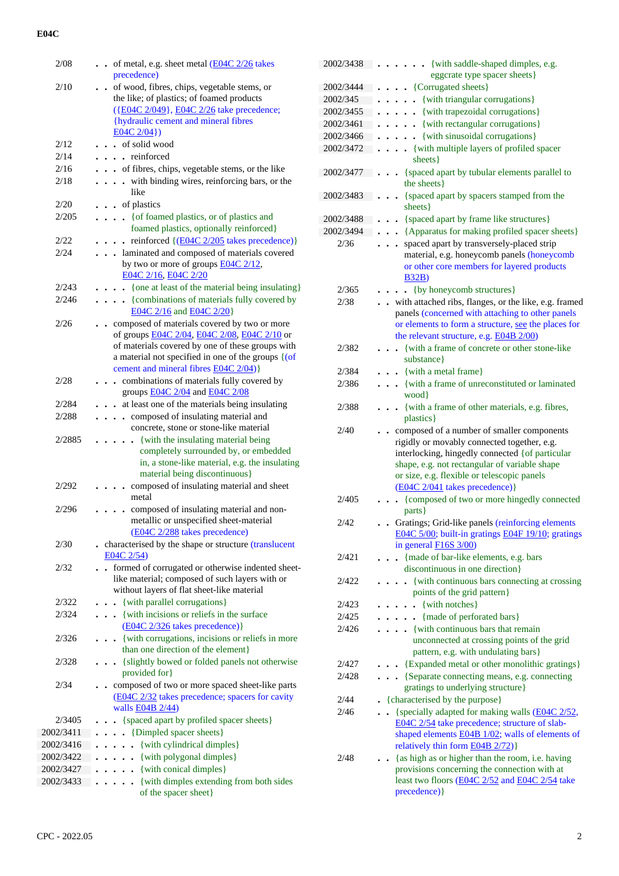| 2/08           | - of metal, e.g. sheet metal $\underline{(E04C\ 2/26)}$ takes                                                      |
|----------------|--------------------------------------------------------------------------------------------------------------------|
|                | precedence)                                                                                                        |
| 2/10           | of wood, fibres, chips, vegetable stems, or<br>$\ddot{\phantom{0}}$                                                |
|                | the like; of plastics; of foamed products                                                                          |
|                | ({E04C 2/049}, E04C 2/26 take precedence;<br>{hydraulic cement and mineral fibres                                  |
|                | $E04C 2/04$ }                                                                                                      |
| 2/12           | . of solid wood                                                                                                    |
| 2/14           | . . reinforced                                                                                                     |
| 2/16           | of fibres, chips, vegetable stems, or the like                                                                     |
| 2/18           | with binding wires, reinforcing bars, or the<br>$\ddot{\phantom{a}}$                                               |
|                | like                                                                                                               |
| 2/20           | of plastics<br>$\ddot{\phantom{0}}$                                                                                |
| 2/205          | {of foamed plastics, or of plastics and<br>$\ddot{\phantom{a}}$                                                    |
|                | foamed plastics, optionally reinforced}                                                                            |
| 2/22           | reinforced {(E04C 2/205 takes precedence)}                                                                         |
| 2/24           | laminated and composed of materials covered                                                                        |
|                | by two or more of groups $E04C$ $2/12$ ,<br>E04C 2/16, E04C 2/20                                                   |
| 2/243          | {one at least of the material being insulating}                                                                    |
| 2/246          | {combinations of materials fully covered by                                                                        |
|                | E04C 2/16 and E04C 2/20                                                                                            |
| 2/26           | composed of materials covered by two or more<br>$\ddot{\phantom{0}}$                                               |
|                | of groups E04C 2/04, E04C 2/08, E04C 2/10 or                                                                       |
|                | of materials covered by one of these groups with                                                                   |
|                | a material not specified in one of the groups {(of                                                                 |
|                | cement and mineral fibres E04C 2/04)                                                                               |
| 2/28           | combinations of materials fully covered by<br>$\ddot{\phantom{a}}$<br>groups <b>E04C 2/04</b> and <b>E04C 2/08</b> |
| 2/284          | at least one of the materials being insulating<br>$\ddot{\phantom{0}}$                                             |
| 2/288          | composed of insulating material and<br>$\ddot{\phantom{a}}$                                                        |
|                | concrete, stone or stone-like material                                                                             |
| 2/2885         | {with the insulating material being                                                                                |
|                | completely surrounded by, or embedded                                                                              |
|                | in, a stone-like material, e.g. the insulating                                                                     |
|                | material being discontinuous}                                                                                      |
| 2/292          | composed of insulating material and sheet<br>metal                                                                 |
| 2/296          | composed of insulating material and non-                                                                           |
|                | metallic or unspecified sheet-material                                                                             |
|                | (E04C 2/288 takes precedence)                                                                                      |
| 2/30           | . characterised by the shape or structure (translucent                                                             |
|                | E04C 2/54)                                                                                                         |
| 2/32           | formed of corrugated or otherwise indented sheet-<br>$\ddot{\phantom{a}}$                                          |
|                | like material; composed of such layers with or                                                                     |
|                | without layers of flat sheet-like material                                                                         |
| 2/322<br>2/324 | {with parallel corrugations}<br>{with incisions or reliefs in the surface                                          |
|                | (E04C 2/326 takes precedence) }                                                                                    |
| 2/326          | {with corrugations, incisions or reliefs in more                                                                   |
|                | than one direction of the element}                                                                                 |
| 2/328          | {slightly bowed or folded panels not otherwise                                                                     |
|                | provided for}                                                                                                      |
| 2/34           | composed of two or more spaced sheet-like parts                                                                    |
|                | (E04C 2/32 takes precedence; spacers for cavity                                                                    |
| 2/3405         | walls <b>E04B</b> 2/44)                                                                                            |
| 2002/3411      | • {spaced apart by profiled spacer sheets}<br>{Dimpled spacer sheets}                                              |
| 2002/3416      | {with cylindrical dimples}                                                                                         |
| 2002/3422      | {with polygonal dimples}                                                                                           |
| 2002/3427      | {with conical dimples}                                                                                             |
| 2002/3433      | {with dimples extending from both sides<br>$\ddot{\phantom{0}}$                                                    |
|                | of the spacer sheet}                                                                                               |

| 2002/3438 | . {with saddle-shaped dimples, e.g.<br>eggcrate type spacer sheets}                                                                                                                                                                                                            |
|-----------|--------------------------------------------------------------------------------------------------------------------------------------------------------------------------------------------------------------------------------------------------------------------------------|
| 2002/3444 | • {Corrugated sheets}                                                                                                                                                                                                                                                          |
| 2002/345  | {with triangular corrugations}                                                                                                                                                                                                                                                 |
| 2002/3455 | {with trapezoidal corrugations}                                                                                                                                                                                                                                                |
| 2002/3461 | {with rectangular corrugations}                                                                                                                                                                                                                                                |
| 2002/3466 | {with sinusoidal corrugations}                                                                                                                                                                                                                                                 |
| 2002/3472 | {with multiple layers of profiled spacer                                                                                                                                                                                                                                       |
|           | sheets }                                                                                                                                                                                                                                                                       |
| 2002/3477 | {spaced apart by tubular elements parallel to<br>the sheets}                                                                                                                                                                                                                   |
| 2002/3483 | {spaced apart by spacers stamped from the                                                                                                                                                                                                                                      |
| 2002/3488 | sheets }<br>{spaced apart by frame like structures}                                                                                                                                                                                                                            |
| 2002/3494 | • {Apparatus for making profiled spacer sheets}                                                                                                                                                                                                                                |
| 2/36      | spaced apart by transversely-placed strip                                                                                                                                                                                                                                      |
|           | material, e.g. honeycomb panels (honeycomb<br>or other core members for layered products<br><b>B32B)</b>                                                                                                                                                                       |
| 2/365     | {by honeycomb structures}<br>$\bullet$                                                                                                                                                                                                                                         |
| 2/38      | with attached ribs, flanges, or the like, e.g. framed                                                                                                                                                                                                                          |
|           | panels (concerned with attaching to other panels<br>or elements to form a structure, see the places for<br>the relevant structure, e.g. <b>E04B 2/00</b> )                                                                                                                     |
| 2/382     | • {with a frame of concrete or other stone-like<br>substance}                                                                                                                                                                                                                  |
| 2/384     | . {with a metal frame}                                                                                                                                                                                                                                                         |
| 2/386     | . { with a frame of unreconstituted or laminated                                                                                                                                                                                                                               |
|           | wood }                                                                                                                                                                                                                                                                         |
| 2/388     | {with a frame of other materials, e.g. fibres,<br>plastics }                                                                                                                                                                                                                   |
| 2/40      | composed of a number of smaller components<br>rigidly or movably connected together, e.g.<br>interlocking, hingedly connected {of particular<br>shape, e.g. not rectangular of variable shape<br>or size, e.g. flexible or telescopic panels<br>(E04C 2/041 takes precedence)} |
| 2/405     | {composed of two or more hingedly connected<br>parts }                                                                                                                                                                                                                         |
| 2/42      | • Gratings; Grid-like panels (reinforcing elements                                                                                                                                                                                                                             |
|           | E04C 5/00; built-in gratings E04F 19/10; gratings<br>in general $F16S$ 3/00)                                                                                                                                                                                                   |
| 2/421     | {made of bar-like elements, e.g. bars                                                                                                                                                                                                                                          |
|           | discontinuous in one direction}                                                                                                                                                                                                                                                |
| 2/422     | . {with continuous bars connecting at crossing                                                                                                                                                                                                                                 |
|           | points of the grid pattern}                                                                                                                                                                                                                                                    |
| 2/423     | $\bullet$ {with notches}                                                                                                                                                                                                                                                       |
| 2/425     | . {made of perforated bars}                                                                                                                                                                                                                                                    |
| 2/426     | { with continuous bars that remain                                                                                                                                                                                                                                             |
|           | unconnected at crossing points of the grid<br>pattern, e.g. with undulating bars}                                                                                                                                                                                              |
| 2/427     | {Expanded metal or other monolithic gratings}                                                                                                                                                                                                                                  |
| 2/428     | {Separate connecting means, e.g. connecting                                                                                                                                                                                                                                    |
|           | gratings to underlying structure}                                                                                                                                                                                                                                              |
| 2/44      | • {characterised by the purpose}                                                                                                                                                                                                                                               |
| 2/46      | {specially adapted for making walls (E04C 2/52,<br>E04C 2/54 take precedence; structure of slab-<br>shaped elements E04B 1/02; walls of elements of                                                                                                                            |
|           | relatively thin form <b>E04B 2/72</b> )}                                                                                                                                                                                                                                       |
| 2/48      | {as high as or higher than the room, i.e. having<br>provisions concerning the connection with at<br>least two floors (E04C 2/52 and E04C 2/54 take<br>precedence) }                                                                                                            |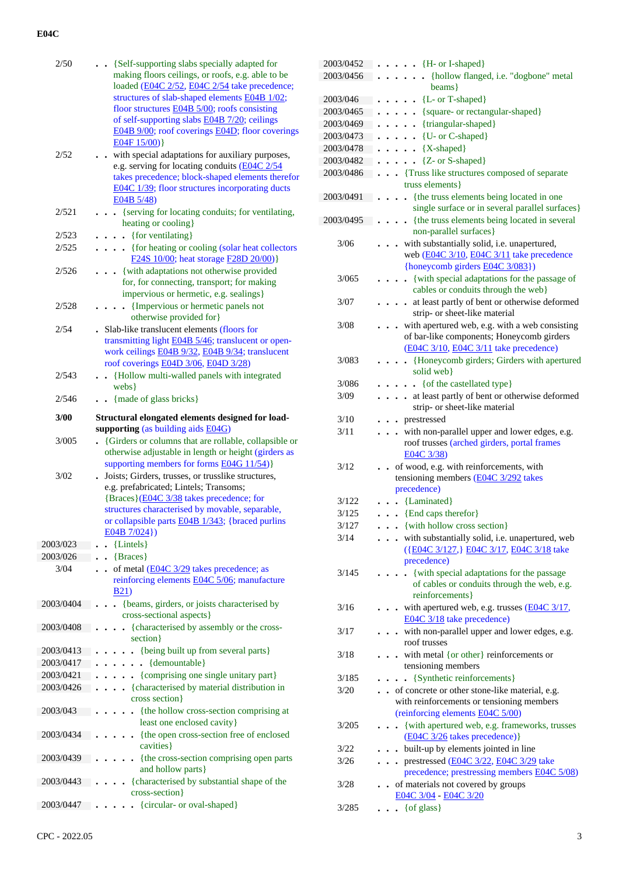| 2/50      | . . {Self-supporting slabs specially adapted for<br>making floors ceilings, or roofs, e.g. able to be<br>loaded (E04C 2/52, E04C 2/54 take precedence;<br>structures of slab-shaped elements E04B 1/02;<br>floor structures E04B 5/00; roofs consisting<br>of self-supporting slabs E04B 7/20; ceilings<br>E04B 9/00; roof coverings E04D; floor coverings<br>E04F15/00) |
|-----------|--------------------------------------------------------------------------------------------------------------------------------------------------------------------------------------------------------------------------------------------------------------------------------------------------------------------------------------------------------------------------|
| 2/52      | with special adaptations for auxiliary purposes,<br>e.g. serving for locating conduits (E04C 2/54<br>takes precedence; block-shaped elements therefor<br>E04C 1/39; floor structures incorporating ducts<br>E04B 5/48                                                                                                                                                    |
| 2/521     | • {serving for locating conduits; for ventilating,<br>heating or cooling}                                                                                                                                                                                                                                                                                                |
| 2/523     | $\bullet \bullet \bullet$ {for ventilating}                                                                                                                                                                                                                                                                                                                              |
| 2/525     | {for heating or cooling (solar heat collectors<br>F24S 10/00; heat storage F28D 20/00)}                                                                                                                                                                                                                                                                                  |
| 2/526     | {with adaptations not otherwise provided<br>for, for connecting, transport; for making<br>impervious or hermetic, e.g. sealings}                                                                                                                                                                                                                                         |
| 2/528     | {Impervious or hermetic panels not<br>otherwise provided for}                                                                                                                                                                                                                                                                                                            |
| 2/54      | . Slab-like translucent elements (floors for<br>transmitting light E04B 5/46; translucent or open-<br>work ceilings E04B 9/32, E04B 9/34; translucent<br>roof coverings E04D 3/06, E04D 3/28)                                                                                                                                                                            |
| 2/543     | {Hollow multi-walled panels with integrated<br>webs }                                                                                                                                                                                                                                                                                                                    |
| 2/546     | {made of glass bricks}                                                                                                                                                                                                                                                                                                                                                   |
| 3/00      | Structural elongated elements designed for load-<br>supporting (as building aids E04G)                                                                                                                                                                                                                                                                                   |
|           |                                                                                                                                                                                                                                                                                                                                                                          |
|           |                                                                                                                                                                                                                                                                                                                                                                          |
| 3/005     | {Girders or columns that are rollable, collapsible or<br>otherwise adjustable in length or height (girders as                                                                                                                                                                                                                                                            |
| 3/02      | supporting members for forms <b>E04G 11/54</b> )}<br>Joists; Girders, trusses, or trusslike structures,<br>e.g. prefabricated; Lintels; Transoms;<br>{Braces}(E04C 3/38 takes precedence; for<br>structures characterised by movable, separable,<br>or collapsible parts <b>E04B</b> 1/343; {braced purlins<br>$E04B 7/024$ }                                            |
| 2003/023  |                                                                                                                                                                                                                                                                                                                                                                          |
| 2003/026  | {Lintels}                                                                                                                                                                                                                                                                                                                                                                |
|           | {Braces}                                                                                                                                                                                                                                                                                                                                                                 |
| 3/04      | of metal (E04C 3/29 takes precedence; as<br>reinforcing elements E04C 5/06; manufacture<br>B21                                                                                                                                                                                                                                                                           |
| 2003/0404 | {beams, girders, or joists characterised by<br>cross-sectional aspects}                                                                                                                                                                                                                                                                                                  |
| 2003/0408 | {characterised by assembly or the cross-<br>$\ddot{\phantom{0}}$<br>section }                                                                                                                                                                                                                                                                                            |
| 2003/0413 |                                                                                                                                                                                                                                                                                                                                                                          |
| 2003/0417 | {being built up from several parts}<br>$\ddot{\phantom{0}}$<br>$\ddot{\phantom{0}}$                                                                                                                                                                                                                                                                                      |
| 2003/0421 | {demountable}                                                                                                                                                                                                                                                                                                                                                            |
| 2003/0426 | {comprising one single unitary part}<br>$\ddot{\phantom{0}}$<br>. {characterised by material distribution in                                                                                                                                                                                                                                                             |
| 2003/043  | cross section}<br>{the hollow cross-section comprising at                                                                                                                                                                                                                                                                                                                |
| 2003/0434 | least one enclosed cavity}<br>{the open cross-section free of enclosed<br>cavities }                                                                                                                                                                                                                                                                                     |
| 2003/0439 | {the cross-section comprising open parts                                                                                                                                                                                                                                                                                                                                 |
| 2003/0443 | and hollow parts}<br>{characterised by substantial shape of the<br>cross-section}                                                                                                                                                                                                                                                                                        |

| 2003/0452 | $\bullet$ {H- or I-shaped}                                                      |
|-----------|---------------------------------------------------------------------------------|
| 2003/0456 | {hollow flanged, i.e. "dogbone" metal                                           |
|           | beams}                                                                          |
| 2003/046  | $\cdot$ {L- or T-shaped}                                                        |
| 2003/0465 | {square- or rectangular-shaped}                                                 |
| 2003/0469 | {triangular-shaped}                                                             |
| 2003/0473 | {U- or C-shaped}                                                                |
| 2003/0478 | {X-shaped}                                                                      |
| 2003/0482 | {Z- or S-shaped}                                                                |
| 2003/0486 | . Truss like structures composed of separate                                    |
|           | truss elements }                                                                |
| 2003/0491 | {the truss elements being located in one<br>$\ddot{\phantom{0}}$                |
|           | single surface or in several parallel surfaces}                                 |
| 2003/0495 | {the truss elements being located in several<br>$\ddot{\phantom{0}}$            |
|           | non-parallel surfaces}                                                          |
| 3/06      | with substantially solid, i.e. unapertured,                                     |
|           | web (E04C 3/10, E04C 3/11 take precedence                                       |
|           | {honeycomb girders E04C 3/083})                                                 |
| 3/065     | {with special adaptations for the passage of                                    |
|           | cables or conduits through the web}                                             |
| 3/07      | at least partly of bent or otherwise deformed<br>$\blacksquare$                 |
| 3/08      | strip- or sheet-like material<br>with apertured web, e.g. with a web consisting |
|           | of bar-like components; Honeycomb girders                                       |
|           | (E04C 3/10, E04C 3/11 take precedence)                                          |
| 3/083     | {Honeycomb girders; Girders with apertured<br>$\ddot{\phantom{a}}$              |
|           | solid web}                                                                      |
| 3/086     | {of the castellated type}<br>$\cdots$                                           |
| 3/09      | . at least partly of bent or otherwise deformed                                 |
|           | strip- or sheet-like material                                                   |
| 3/10      | • prestressed                                                                   |
| 3/11      | with non-parallel upper and lower edges, e.g.                                   |
|           | roof trusses (arched girders, portal frames                                     |
|           | E04C 3/38)                                                                      |
| 3/12      |                                                                                 |
|           | • of wood, e.g. with reinforcements, with                                       |
|           | tensioning members (E04C 3/292 takes                                            |
|           | precedence)                                                                     |
| 3/122     | {Laminated}                                                                     |
| 3/125     | {End caps therefor}<br>$\ddot{\phantom{0}}$                                     |
| 3/127     | • {with hollow cross section}                                                   |
| 3/14      | with substantially solid, i.e. unapertured, web                                 |
|           | ({E04C 3/127,} E04C 3/17, E04C 3/18 take                                        |
|           | precedence)                                                                     |
| 3/145     | • {with special adaptations for the passage                                     |
|           | of cables or conduits through the web, e.g.                                     |
|           | reinforcements}                                                                 |
| 3/16      | - with apertured web, e.g. trusses $(E04C 3/17,$                                |
| 3/17      | E04C 3/18 take precedence)                                                      |
|           | - with non-parallel upper and lower edges, e.g.<br>roof trusses                 |
| 3/18      | • with metal {or other} reinforcements or                                       |
|           | tensioning members                                                              |
| 3/185     | {Synthetic reinforcements}                                                      |
| 3/20      | of concrete or other stone-like material, e.g.                                  |
|           | with reinforcements or tensioning members                                       |
|           | (reinforcing elements E04C 5/00)                                                |
| 3/205     | {with apertured web, e.g. frameworks, trusses                                   |
|           | (E04C 3/26 takes precedence) }                                                  |
| 3/22      | • built-up by elements jointed in line                                          |
| 3/26      | prestressed (E04C 3/22, E04C 3/29 take<br>$\ddot{\phantom{0}}$                  |
|           | precedence; prestressing members E04C 5/08)                                     |
| 3/28      | of materials not covered by groups                                              |
| 3/285     | E04C 3/04 - E04C 3/20<br>{of glass}<br>$\ddot{\phantom{0}}$                     |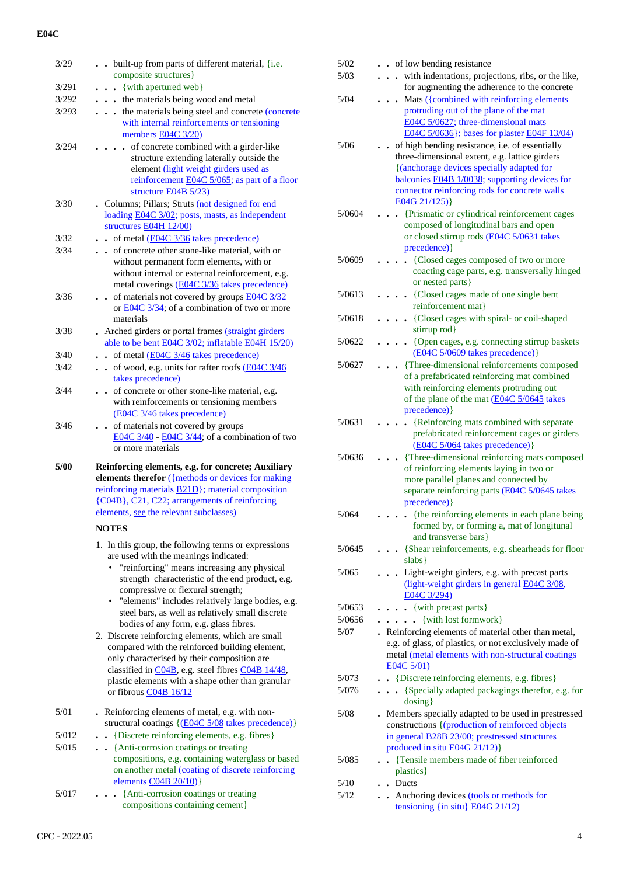| 3/29          | built-up from parts of different material, {i.e.                                                      | $5/02$ | . . of low bending resistance                                                                                  |
|---------------|-------------------------------------------------------------------------------------------------------|--------|----------------------------------------------------------------------------------------------------------------|
| 3/291         | composite structures}<br>{with apertured web}                                                         | $5/03$ | . with indentations, projections, ribs, or the like,<br>for augmenting the adherence to the concrete           |
| 3/292         | . the materials being wood and metal                                                                  | 5/04   | Mats ({combined with reinforcing elements                                                                      |
| 3/293         | the materials being steel and concrete (concrete                                                      |        | protruding out of the plane of the mat                                                                         |
|               | with internal reinforcements or tensioning                                                            |        | E04C 5/0627; three-dimensional mats                                                                            |
|               | members $E04C$ 3/20)                                                                                  |        | E04C 5/0636}; bases for plaster E04F 13/04)                                                                    |
| 3/294         | . of concrete combined with a girder-like<br>structure extending laterally outside the                | 5/06   | of high bending resistance, i.e. of essentially<br>three-dimensional extent, e.g. lattice girders              |
|               | element (light weight girders used as                                                                 |        | {(anchorage devices specially adapted for                                                                      |
|               | reinforcement <b>E04C</b> 5/065; as part of a floor                                                   |        | balconies E04B 1/0038; supporting devices for                                                                  |
|               | structure $E04B 5/23$                                                                                 |        | connector reinforcing rods for concrete walls                                                                  |
| 3/30          | . Columns; Pillars; Struts (not designed for end                                                      |        | $E04G 21/125$ }                                                                                                |
|               | loading E04C 3/02; posts, masts, as independent                                                       | 5/0604 | . {Prismatic or cylindrical reinforcement cages<br>composed of longitudinal bars and open                      |
| 3/32          | structures E04H 12/00)<br>$\cdot$ of metal (E04C 3/36 takes precedence)                               |        | or closed stirrup rods (E04C 5/0631 takes                                                                      |
| 3/34          | of concrete other stone-like material, with or                                                        |        | precedence) }                                                                                                  |
|               | without permanent form elements, with or                                                              | 5/0609 | {Closed cages composed of two or more                                                                          |
|               | without internal or external reinforcement, e.g.                                                      |        | coacting cage parts, e.g. transversally hinged                                                                 |
|               | metal coverings (E04C 3/36 takes precedence)                                                          |        | or nested parts }                                                                                              |
| 3/36          | of materials not covered by groups E04C 3/32                                                          | 5/0613 | {Closed cages made of one single bent<br>.<br>reinforcement mat}                                               |
|               | or $E04C$ 3/34; of a combination of two or more<br>materials                                          | 5/0618 | . {Closed cages with spiral- or coil-shaped                                                                    |
| 3/38          | . Arched girders or portal frames (straight girders                                                   |        | stirrup rod}                                                                                                   |
|               | able to be bent E04C 3/02; inflatable E04H 15/20)                                                     | 5/0622 | . {Open cages, e.g. connecting stirrup baskets                                                                 |
| 3/40          | $\bullet$ of metal (E04C 3/46 takes precedence)                                                       |        | (E04C 5/0609 takes precedence) }                                                                               |
| 3/42          | . . of wood, e.g. units for rafter roofs (E04C 3/46                                                   | 5/0627 | {Three-dimensional reinforcements composed                                                                     |
|               | takes precedence)                                                                                     |        | of a prefabricated reinforcing mat combined                                                                    |
| 3/44          | of concrete or other stone-like material, e.g.                                                        |        | with reinforcing elements protruding out<br>of the plane of the mat (E04C 5/0645 takes                         |
|               | with reinforcements or tensioning members<br>(E04C 3/46 takes precedence)                             |        | precedence) }                                                                                                  |
| 3/46          | . . of materials not covered by groups                                                                | 5/0631 | . {Reinforcing mats combined with separate                                                                     |
|               | $\underline{E04C}$ 3/40 - $\underline{E04C}$ 3/44; of a combination of two                            |        | prefabricated reinforcement cages or girders                                                                   |
|               | or more materials                                                                                     |        | (E04C 5/064 takes precedence) }                                                                                |
| 5/00          | Reinforcing elements, e.g. for concrete; Auxiliary                                                    | 5/0636 | {Three-dimensional reinforcing mats composed                                                                   |
|               | elements therefor ({methods or devices for making                                                     |        | of reinforcing elements laying in two or<br>more parallel planes and connected by                              |
|               | reinforcing materials <b>B21D</b> }; material composition                                             |        | separate reinforcing parts (E04C 5/0645 takes                                                                  |
|               | {C04B}, C21, C22; arrangements of reinforcing                                                         |        | precedence) }                                                                                                  |
|               | elements, see the relevant subclasses)                                                                | 5/064  | . {the reinforcing elements in each plane being                                                                |
|               | <b>NOTES</b>                                                                                          |        | formed by, or forming a, mat of longitunal                                                                     |
|               | 1. In this group, the following terms or expressions                                                  | 5/0645 | and transverse bars}<br>{Shear reinforcements, e.g. shearheads for floor                                       |
|               | are used with the meanings indicated:                                                                 |        | slabs }                                                                                                        |
|               | • "reinforcing" means increasing any physical                                                         | 5/065  | . Light-weight girders, e.g. with precast parts                                                                |
|               | strength characteristic of the end product, e.g.                                                      |        | (light-weight girders in general E04C 3/08,                                                                    |
|               | compressive or flexural strength;<br>• "elements" includes relatively large bodies, e.g.              |        | E04C 3/294)                                                                                                    |
|               | steel bars, as well as relatively small discrete                                                      | 5/0653 | . {with precast parts}                                                                                         |
|               | bodies of any form, e.g. glass fibres.                                                                | 5/0656 | $\ldots$ . {with lost formwork}                                                                                |
|               | 2. Discrete reinforcing elements, which are small                                                     | 5/07   | . Reinforcing elements of material other than metal,<br>e.g. of glass, of plastics, or not exclusively made of |
|               | compared with the reinforced building element,                                                        |        | metal (metal elements with non-structural coatings                                                             |
|               | only characterised by their composition are<br>classified in C04B, e.g. steel fibres C04B 14/48,      |        | E04C 5/01)                                                                                                     |
|               | plastic elements with a shape other than granular                                                     | 5/073  | . Discrete reinforcing elements, e.g. fibres }                                                                 |
|               | or fibrous C04B 16/12                                                                                 | 5/076  | . {Specially adapted packagings therefor, e.g. for                                                             |
|               |                                                                                                       |        | $dosing$ }                                                                                                     |
| 5/01          | . Reinforcing elements of metal, e.g. with non-<br>structural coatings {(E04C 5/08 takes precedence)} | 5/08   | . Members specially adapted to be used in prestressed                                                          |
| 5/012         | . Discrete reinforcing elements, e.g. fibres}                                                         |        | constructions { (production of reinforced objects<br>in general <b>B28B 23/00</b> ; prestressed structures     |
| 5/015         | . Anti-corrosion coatings or treating                                                                 |        | produced in situ E04G 21/12)}                                                                                  |
|               | compositions, e.g. containing waterglass or based                                                     | 5/085  | . Tensile members made of fiber reinforced                                                                     |
|               | on another metal (coating of discrete reinforcing                                                     |        | plastics }                                                                                                     |
|               | elements $CO4B$ $20/10)$ }                                                                            | 5/10   | . . Ducts                                                                                                      |
| 5/017         | . {Anti-corrosion coatings or treating<br>compositions containing cement}                             | 5/12   | Anchoring devices (tools or methods for                                                                        |
|               |                                                                                                       |        | tensioning $\{\underline{\text{in situ}}\}$ E04G 21/12)                                                        |
|               |                                                                                                       |        |                                                                                                                |
| CPC - 2022.05 |                                                                                                       |        | 4                                                                                                              |

| 5/03   | with indentations, projections, ribs, or the like,                                                                   |
|--------|----------------------------------------------------------------------------------------------------------------------|
|        | for augmenting the adherence to the concrete                                                                         |
| 5/04   | Mats ({combined with reinforcing elements                                                                            |
|        | protruding out of the plane of the mat<br>E04C 5/0627; three-dimensional mats                                        |
|        | E04C 5/0636}; bases for plaster E04F 13/04)                                                                          |
| 5/06   | of high bending resistance, i.e. of essentially                                                                      |
|        | three-dimensional extent, e.g. lattice girders                                                                       |
|        | {(anchorage devices specially adapted for                                                                            |
|        | balconies E04B 1/0038; supporting devices for<br>connector reinforcing rods for concrete walls                       |
|        | E04G 21/125)                                                                                                         |
| 5/0604 | {Prismatic or cylindrical reinforcement cages                                                                        |
|        | composed of longitudinal bars and open                                                                               |
|        | or closed stirrup rods (E04C 5/0631 takes                                                                            |
|        | precedence) }                                                                                                        |
| 5/0609 | {Closed cages composed of two or more<br>coacting cage parts, e.g. transversally hinged<br>or nested parts}          |
| 5/0613 | {Closed cages made of one single bent                                                                                |
|        | reinforcement mat}                                                                                                   |
| 5/0618 | • {Closed cages with spiral- or coil-shaped                                                                          |
|        | stirrup rod}                                                                                                         |
| 5/0622 | • {Open cages, e.g. connecting stirrup baskets<br>(E04C 5/0609 takes precedence) }                                   |
| 5/0627 | {Three-dimensional reinforcements composed<br>of a prefabricated reinforcing mat combined                            |
|        | with reinforcing elements protruding out                                                                             |
|        | of the plane of the mat (E04C 5/0645 takes                                                                           |
|        | precedence) }                                                                                                        |
| 5/0631 | {Reinforcing mats combined with separate                                                                             |
|        | prefabricated reinforcement cages or girders<br>(E04C 5/064 takes precedence) }                                      |
| 5/0636 | {Three-dimensional reinforcing mats composed                                                                         |
|        | of reinforcing elements laying in two or                                                                             |
|        | more parallel planes and connected by                                                                                |
|        | separate reinforcing parts (E04C 5/0645 takes<br>precedence) }                                                       |
| 5/064  | {the reinforcing elements in each plane being                                                                        |
|        | formed by, or forming a, mat of longitunal                                                                           |
|        | and transverse bars}                                                                                                 |
| 5/0645 | {Shear reinforcements, e.g. shearheads for floor                                                                     |
|        | slabs}                                                                                                               |
| 5/065  | Light-weight girders, e.g. with precast parts<br>$\ddot{\phantom{a}}$<br>(light-weight girders in general E04C 3/08, |
|        | E04C 3/294)                                                                                                          |
| 5/0653 | $\bullet$ {with precast parts}                                                                                       |
| 5/0656 | . . {with lost formwork}                                                                                             |
| 5/07   | . Reinforcing elements of material other than metal,                                                                 |
|        | e.g. of glass, of plastics, or not exclusively made of<br>metal (metal elements with non-structural coatings         |
|        | E04C 5/01)                                                                                                           |
| 5/073  | . Discrete reinforcing elements, e.g. fibres }                                                                       |
| 5/076  | {Specially adapted packagings therefor, e.g. for                                                                     |
|        | $dosing\}$                                                                                                           |
| 5/08   | . Members specially adapted to be used in prestressed                                                                |
|        | constructions { (production of reinforced objects<br>in general <b>B28B 23/00</b> ; prestressed structures           |
|        | produced in situ E04G 21/12)}                                                                                        |
| 5/085  | {Tensile members made of fiber reinforced                                                                            |
|        | plastics }                                                                                                           |
| 5/10   | . Ducts                                                                                                              |
| 5/12   | Anchoring devices (tools or methods for<br>$\ddot{\phantom{0}}$                                                      |
|        | tensioning $\{\underline{\text{in situ}}\}$ E04G 21/12)                                                              |